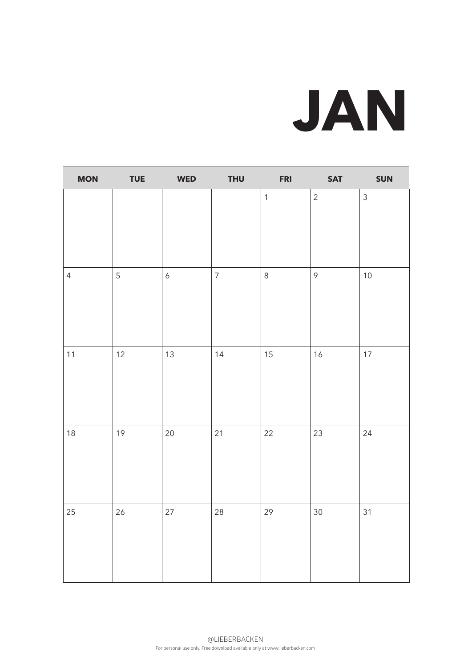## **JAN**

| <b>MON</b>     | <b>TUE</b> | <b>WED</b>       | <b>THU</b>     | <b>FRI</b>   | <b>SAT</b>     | SUN            |
|----------------|------------|------------------|----------------|--------------|----------------|----------------|
|                |            |                  |                | $\mathbf{1}$ | $\overline{2}$ | $\mathfrak{Z}$ |
| $\overline{4}$ | 5          | $\boldsymbol{6}$ | $\overline{7}$ | $\,8\,$      | $\mathcal{P}$  | $10$           |
| $11$           | 12         | 13               | 14             | 15           | $16$           | 17             |
| $18$           | 19         | 20               | 21             | 22           | 23             | 24             |
| 25             | 26         | $27$             | 28             | 29           | $30\,$         | 31             |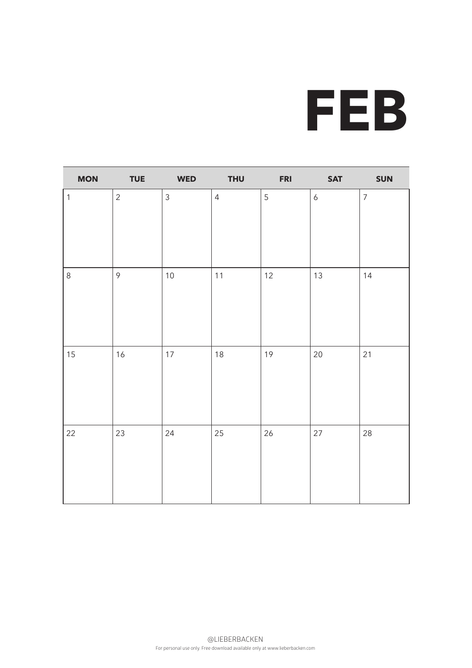

| <b>MON</b>   | <b>TUE</b>    | <b>WED</b>     | <b>THU</b>     | <b>FRI</b>  | <b>SAT</b>       | SUN              |
|--------------|---------------|----------------|----------------|-------------|------------------|------------------|
| $\mathbf{1}$ | $\sqrt{2}$    | $\mathfrak{Z}$ | $\overline{4}$ | $\mathsf S$ | $\boldsymbol{6}$ | $\boldsymbol{7}$ |
| $\,8\,$      | $\mathcal{P}$ | $10$           | 11             | 12          | 13               | 14               |
| $15\,$       | $16$          | 17             | 18             | 19          | $20\,$           | $21$             |
| 22           | 23            | 24             | 25             | 26          | 27               | 28               |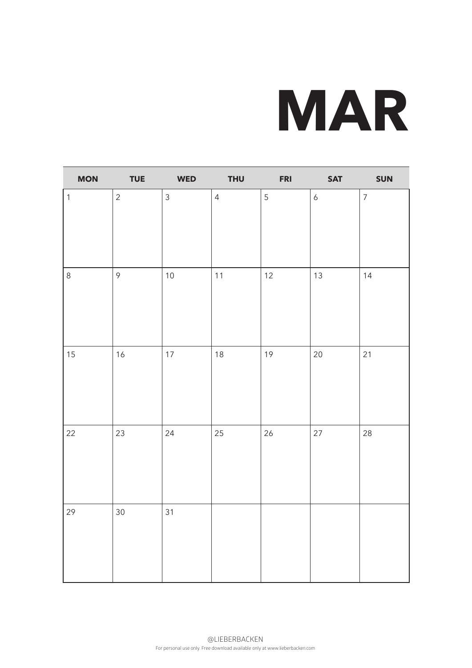# **MAR**

| <b>MON</b>   | <b>TUE</b>     | <b>WED</b>     | <b>THU</b>     | <b>FRI</b> | <b>SAT</b>       | SUN            |
|--------------|----------------|----------------|----------------|------------|------------------|----------------|
| $\mathbf{1}$ | $\overline{2}$ | $\mathfrak{Z}$ | $\overline{4}$ | 5          | $\boldsymbol{6}$ | $\overline{7}$ |
|              |                |                |                |            |                  |                |
| $\,8\,$      | $\mathcal{P}$  | $10$           | 11             | 12         | 13               | 14             |
| 15           | 16             | $17$           | 18             | 19         | 20               | 21             |
| 22           | 23             | 24             | 25             | 26         | 27               | 28             |
| 29           | 30             | 31             |                |            |                  |                |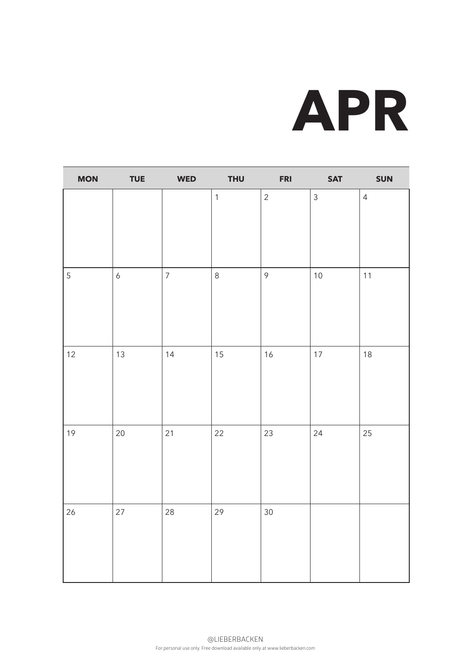### **APR**

| <b>MON</b>     | <b>TUE</b>       | <b>WED</b>     | <b>THU</b>   | <b>FRI</b>     | <b>SAT</b>     | SUN            |
|----------------|------------------|----------------|--------------|----------------|----------------|----------------|
|                |                  |                | $\mathbf{1}$ | $\overline{2}$ | $\overline{3}$ | $\overline{4}$ |
| $\overline{5}$ | $\boldsymbol{6}$ | $\overline{7}$ | $\,8\,$      | $\mathcal{P}$  | $10$           | 11             |
| 12             | 13               | 14             | 15           | 16             | $17\,$         | 18             |
| 19             | 20               | 21             | 22           | 23             | 24             | 25             |
| 26             | 27               | 28             | 29           | $30\,$         |                |                |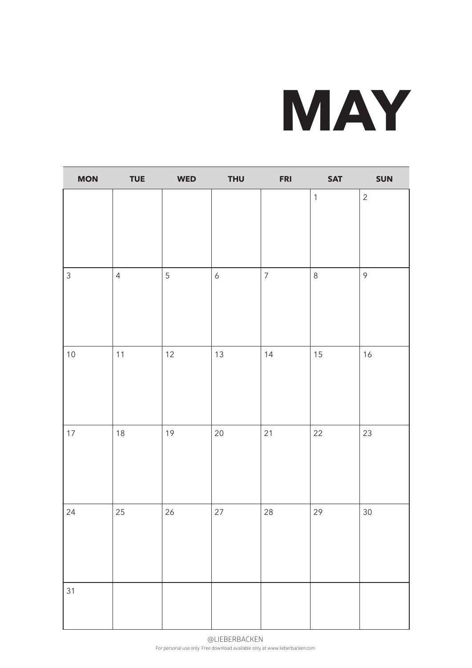

| <b>MON</b>     | <b>TUE</b>     | <b>WED</b> | <b>THU</b>       | <b>FRI</b>     | <b>SAT</b>   | SUN            |
|----------------|----------------|------------|------------------|----------------|--------------|----------------|
|                |                |            |                  |                | $\mathbf{1}$ | $\overline{c}$ |
| $\mathfrak{Z}$ | $\overline{4}$ | 5          | $\boldsymbol{6}$ | $\overline{7}$ | $\,8\,$      | $\mathcal{P}$  |
| $10\,$         | $11$           | 12         | $13$             | 14             | $15$         | $16$           |
| $17\,$         | $18$           | 19         | 20               | 21             | 22           | 23             |
| 24             | 25             | 26         | $27\,$           | 28             | 29           | $30\,$         |
| 31             |                |            |                  |                |              |                |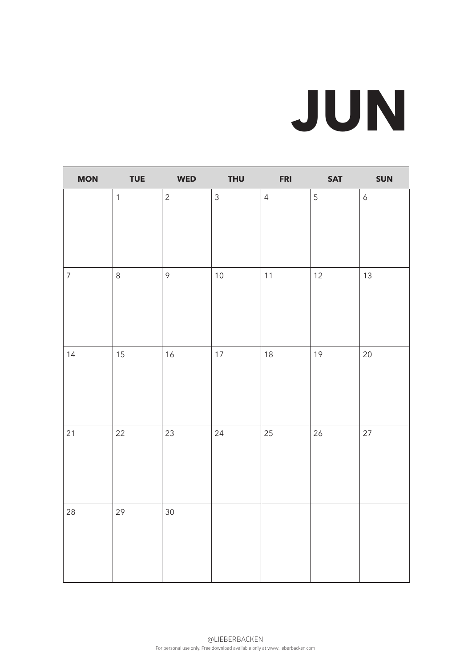# **JUN**

Ī.

| <b>MON</b>     | <b>TUE</b>   | <b>WED</b>     | <b>THU</b>     | <b>FRI</b>     | <b>SAT</b> | SUN              |
|----------------|--------------|----------------|----------------|----------------|------------|------------------|
|                | $\mathbf{1}$ | $\overline{c}$ | $\overline{3}$ | $\overline{4}$ | 5          | $\boldsymbol{6}$ |
| $\overline{7}$ | $\,8\,$      | $\mathcal{P}$  | $10$           | 11             | 12         | 13               |
| 14             | $15\,$       | 16             | $17$           | $18$           | 19         | 20               |
| 21             | $22$         | 23             | 24             | 25             | 26         | 27               |
| 28             | 29           | $30\,$         |                |                |            |                  |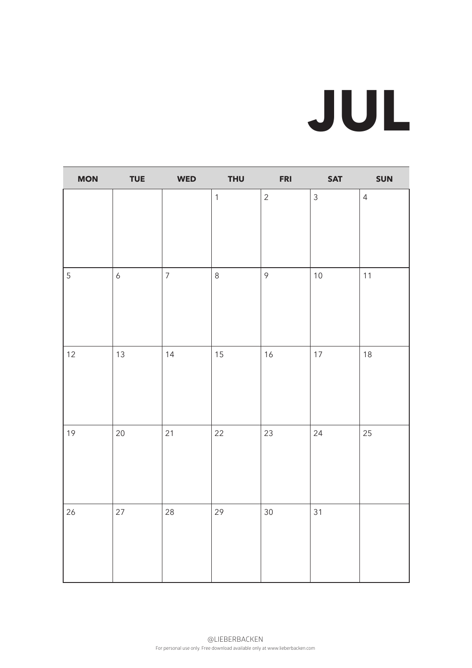## **JUL**

| <b>MON</b>     | <b>TUE</b>      | <b>WED</b>     | <b>THU</b>   | <b>FRI</b>     | <b>SAT</b>     | SUN            |
|----------------|-----------------|----------------|--------------|----------------|----------------|----------------|
|                |                 |                | $\mathbf{1}$ | $\overline{2}$ | $\overline{3}$ | $\overline{4}$ |
| $\overline{5}$ | $\ddot{\delta}$ | $\overline{7}$ | $\,8\,$      | $\mathcal{P}$  | $10$           | 11             |
| 12             | 13              | 14             | 15           | 16             | $17\,$         | 18             |
| 19             | 20              | 21             | 22           | 23             | 24             | 25             |
| 26             | 27              | 28             | 29           | 30             | 31             |                |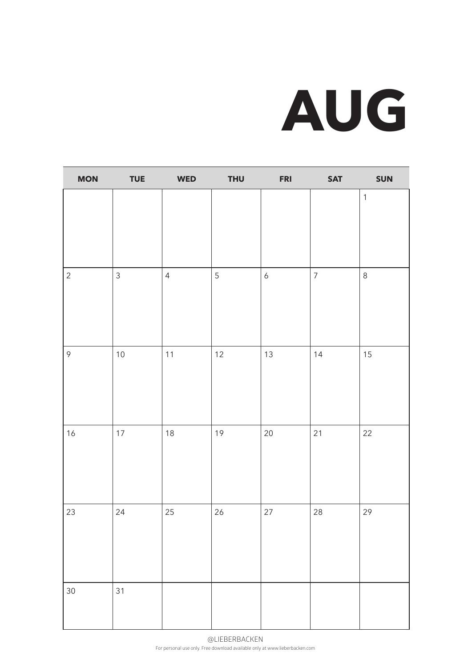# **AUG**

| <b>MON</b>     | <b>TUE</b>     | <b>WED</b>     | <b>THU</b> | <b>FRI</b>       | <b>SAT</b>       | SUN          |
|----------------|----------------|----------------|------------|------------------|------------------|--------------|
|                |                |                |            |                  |                  | $\mathbf{1}$ |
| $\overline{c}$ | $\mathfrak{Z}$ | $\overline{4}$ | 5          | $\boldsymbol{6}$ | $\boldsymbol{7}$ | $\,8\,$      |
| $\mathcal{P}$  | $10$           | $11$           | 12         | 13               | $14$             | $15$         |
| $16$           | $17$           | $18$           | 19         | 20               | 21               | 22           |
| $23\,$         | 24             | 25             | 26         | $27\,$           | $28\,$           | 29           |
| $30\,$         | 31             |                |            |                  |                  |              |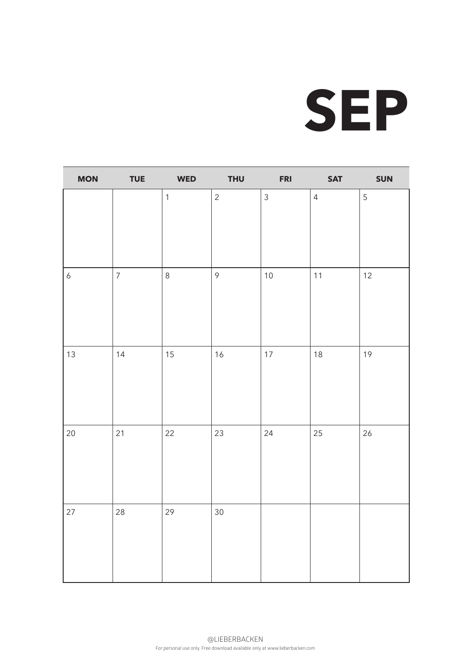#### **SEP**

| <b>MON</b>       | <b>TUE</b>     | <b>WED</b>     | <b>THU</b>     | <b>FRI</b>     | <b>SAT</b>     | SUN |
|------------------|----------------|----------------|----------------|----------------|----------------|-----|
|                  |                | $\overline{1}$ | $\overline{c}$ | $\mathfrak{Z}$ | $\overline{4}$ | 5   |
|                  |                |                |                |                |                |     |
| $\boldsymbol{6}$ | $\overline{7}$ | $\,8\,$        | $\mathcal{P}$  | $10$           | $11$           | 12  |
| 13               | 14             | 15             | 16             | $17$           | $18$           | 19  |
| 20               | 21             | 22             | 23             | 24             | 25             | 26  |
| 27               | 28             | 29             | 30             |                |                |     |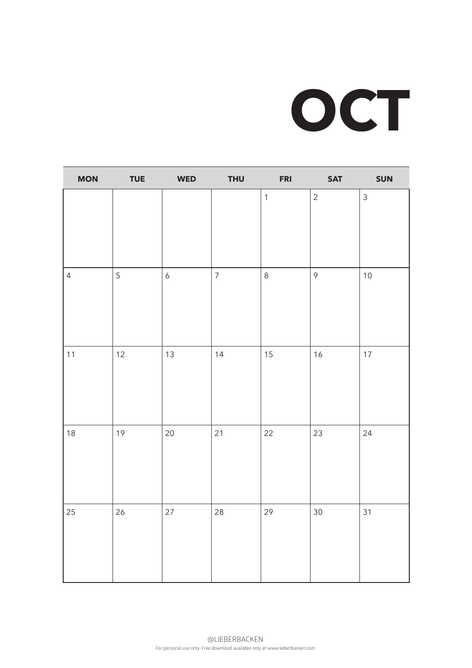#### **OCT**

| <b>MON</b>     | <b>TUE</b> | <b>WED</b>       | <b>THU</b>     | <b>FRI</b>   | <b>SAT</b>     | SUN            |
|----------------|------------|------------------|----------------|--------------|----------------|----------------|
|                |            |                  |                | $\mathbf{1}$ | $\overline{2}$ | $\mathfrak{Z}$ |
| $\overline{4}$ | 5          | $\boldsymbol{6}$ | $\overline{7}$ | $\,8\,$      | $\mathcal{P}$  | $10$           |
| $11$           | 12         | 13               | 14             | 15           | $16$           | $17$           |
| $18$           | 19         | 20               | 21             | 22           | 23             | 24             |
| 25             | 26         | 27               | 28             | 29           | $30\,$         | 31             |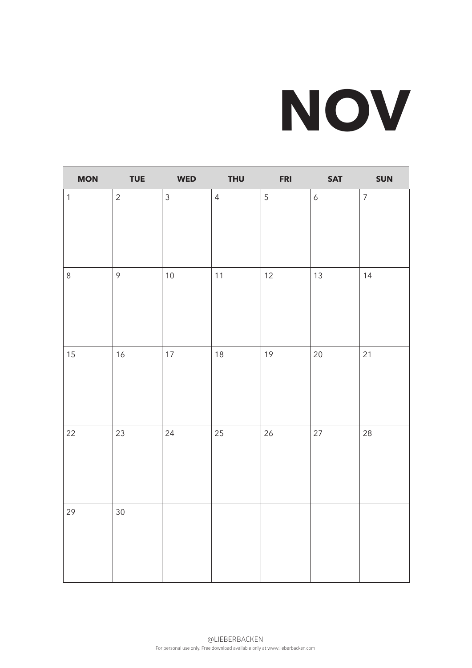# **NOV**

| <b>MON</b>   | <b>TUE</b>    | <b>WED</b>     | <b>THU</b>     | <b>FRI</b> | <b>SAT</b>       | SUN            |
|--------------|---------------|----------------|----------------|------------|------------------|----------------|
| $\mathbf{1}$ | $\sqrt{2}$    | $\mathfrak{Z}$ | $\overline{4}$ | $\sqrt{5}$ | $\boldsymbol{6}$ | $\overline{7}$ |
|              |               |                |                |            |                  |                |
| $\,8\,$      | $\mathcal{P}$ | $10$           | $11$           | 12         | 13               | 14             |
| 15           | $16$          | $17\,$         | 18             | 19         | $20\,$           | 21             |
| 22           | 23            | 24             | 25             | 26         | $27\,$           | 28             |
| 29           | 30            |                |                |            |                  |                |